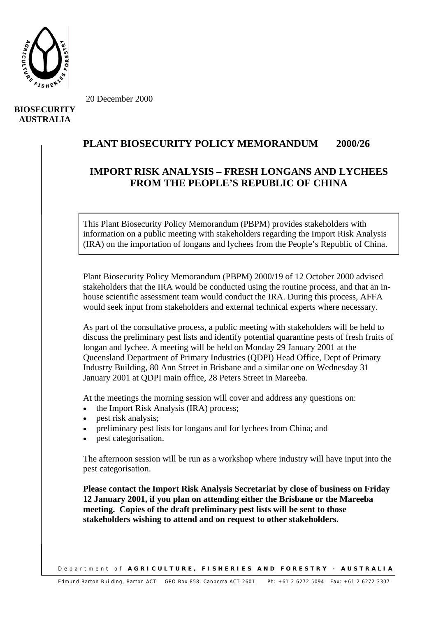

20 December 2000

## **BIOSECURITY AUSTRALIA**

## **PLANT BIOSECURITY POLICY MEMORANDUM 2000/26**

## **IMPORT RISK ANALYSIS – FRESH LONGANS AND LYCHEES FROM THE PEOPLE'S REPUBLIC OF CHINA**

This Plant Biosecurity Policy Memorandum (PBPM) provides stakeholders with information on a public meeting with stakeholders regarding the Import Risk Analysis (IRA) on the importation of longans and lychees from the People's Republic of China.

Plant Biosecurity Policy Memorandum (PBPM) 2000/19 of 12 October 2000 advised stakeholders that the IRA would be conducted using the routine process, and that an inhouse scientific assessment team would conduct the IRA. During this process, AFFA would seek input from stakeholders and external technical experts where necessary.

As part of the consultative process, a public meeting with stakeholders will be held to discuss the preliminary pest lists and identify potential quarantine pests of fresh fruits of longan and lychee. A meeting will be held on Monday 29 January 2001 at the Queensland Department of Primary Industries (QDPI) Head Office, Dept of Primary Industry Building, 80 Ann Street in Brisbane and a similar one on Wednesday 31 January 2001 at QDPI main office, 28 Peters Street in Mareeba.

At the meetings the morning session will cover and address any questions on:

- the Import Risk Analysis (IRA) process;
- pest risk analysis;
- preliminary pest lists for longans and for lychees from China; and
- pest categorisation.

The afternoon session will be run as a workshop where industry will have input into the pest categorisation.

**Please contact the Import Risk Analysis Secretariat by close of business on Friday 12 January 2001, if you plan on attending either the Brisbane or the Mareeba meeting. Copies of the draft preliminary pest lists will be sent to those stakeholders wishing to attend and on request to other stakeholders.** 

Department of **AGRICULTURE, FISHERIES AND FORESTRY - AUSTRALIA**